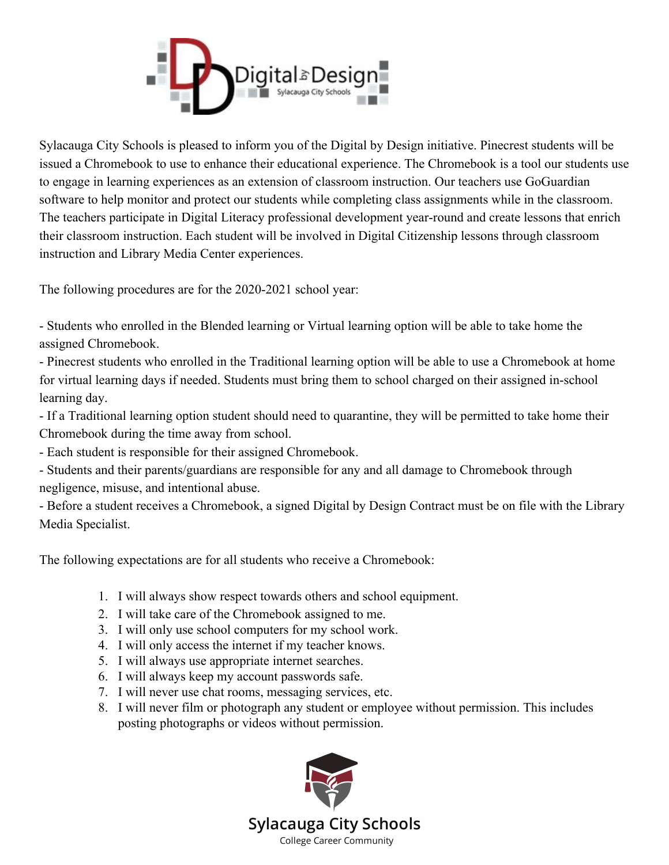

Sylacauga City Schools is pleased to inform you of the Digital by Design initiative. Pinecrest students will be issued a Chromebook to use to enhance their educational experience. The Chromebook is a tool our students use to engage in learning experiences as an extension of classroom instruction. Our teachers use GoGuardian software to help monitor and protect our students while completing class assignments while in the classroom. The teachers participate in Digital Literacy professional development year-round and create lessons that enrich their classroom instruction. Each student will be involved in Digital Citizenship lessons through classroom instruction and Library Media Center experiences.

The following procedures are for the 2020-2021 school year:

- Students who enrolled in the Blended learning or Virtual learning option will be able to take home the assigned Chromebook.

- Pinecrest students who enrolled in the Traditional learning option will be able to use a Chromebook at home for virtual learning days if needed. Students must bring them to school charged on their assigned in-school learning day.

- If a Traditional learning option student should need to quarantine, they will be permitted to take home their Chromebook during the time away from school.

- Each student is responsible for their assigned Chromebook.

- Students and their parents/guardians are responsible for any and all damage to Chromebook through negligence, misuse, and intentional abuse.

- Before a student receives a Chromebook, a signed Digital by Design Contract must be on file with the Library Media Specialist.

The following expectations are for all students who receive a Chromebook:

- 1. I will always show respect towards others and school equipment.
- 2. I will take care of the Chromebook assigned to me.
- 3. I will only use school computers for my school work.
- 4. I will only access the internet if my teacher knows.
- 5. I will always use appropriate internet searches.
- 6. I will always keep my account passwords safe.
- 7. I will never use chat rooms, messaging services, etc.
- 8. I will never film or photograph any student or employee without permission. This includes posting photographs or videos without permission.